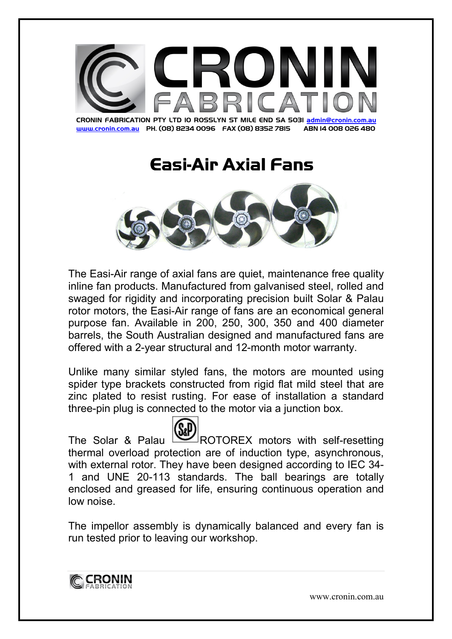

www.cronin.com.au PH. (08) 8234 0096 FAX (08) 8352 7815 ABN 14 008 026 480

## Easi-Air Axial Fans Axial Fans



The Easi-Air range of axial fans are quiet, maintenance free quality inline fan products. Manufactured from galvanised steel, rolled and swaged for rigidity and incorporating precision built Solar & Palau rotor motors, the Easi-Air range of fans are an economical general purpose fan. Available in 200, 250, 300, 350 and 400 diameter barrels, the South Australian designed and manufactured fans are offered with a 2-year structural and 12-month motor warranty.

Unlike many similar styled fans, the motors are mounted using spider type brackets constructed from rigid flat mild steel that are zinc plated to resist rusting. For ease of installation a standard three-pin plug is connected to the motor via a junction box.

The Solar & Palau WAV ROTOREX motors with self-resetting thermal overload protection are of induction type, asynchronous, with external rotor. They have been designed according to IEC 34- 1 and UNE 20-113 standards. The ball bearings are totally enclosed and greased for life, ensuring continuous operation and low noise.

The impellor assembly is dynamically balanced and every fan is run tested prior to leaving our workshop.



www.cronin.com.au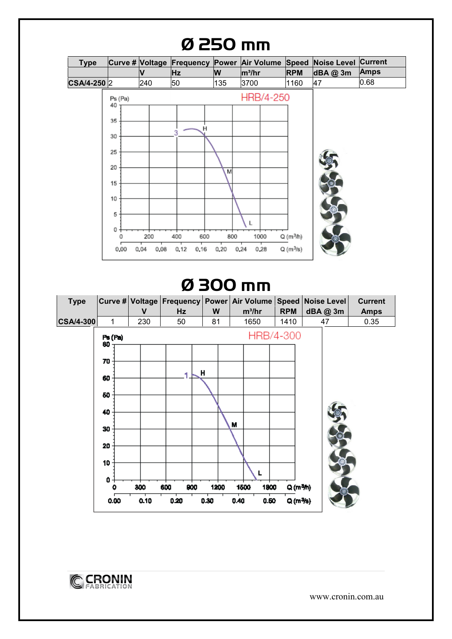

## Ø 300 mm





www.cronin.com.au